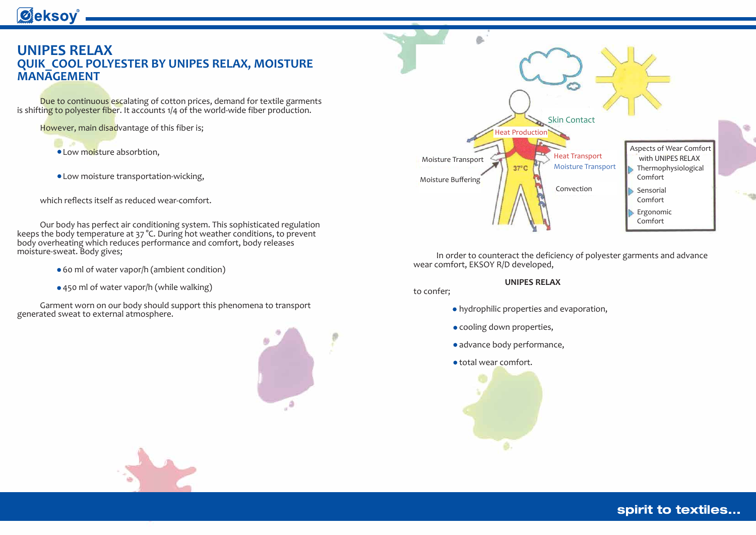### **UNIPES RELAX QUIK\_COOL POLYESTER BY UNIPES RELAX, MOISTURE MANAGEMENT**

Due to continuous escalating of cotton prices, demand for textile garments is shifting to polyester fiber. It accounts 1/4 of the world-wide fiber production.

However, main disadvantage of this fiber is;

Low moisture absorbtion,

Low moisture transportation-wicking,

which reflects itself as reduced wear-comfort.

 Our body has perfect air conditioning system. This sophisticated regulation keeps the body temperature at 37 °C. During hot weather conditions, to prevent body overheating which reduces performance and comfort, body releases moisture-sweat. Body gives;

- 60 ml of water vapor/h (ambient condition)
- 450 ml of water vapor/h (while walking)

 Garment worn on our body should support this phenomena to transport generated sweat to external atmosphere.



 In order to counteract the deficiency of polyester garments and advance wear comfort, EKSOY R/D developed,

#### **UNIPES RELAX**

to confer;

- hydrophilic properties and evaporation,
- cooling down properties,
- advance body performance,
- total wear comfort.





### spirit to textiles...